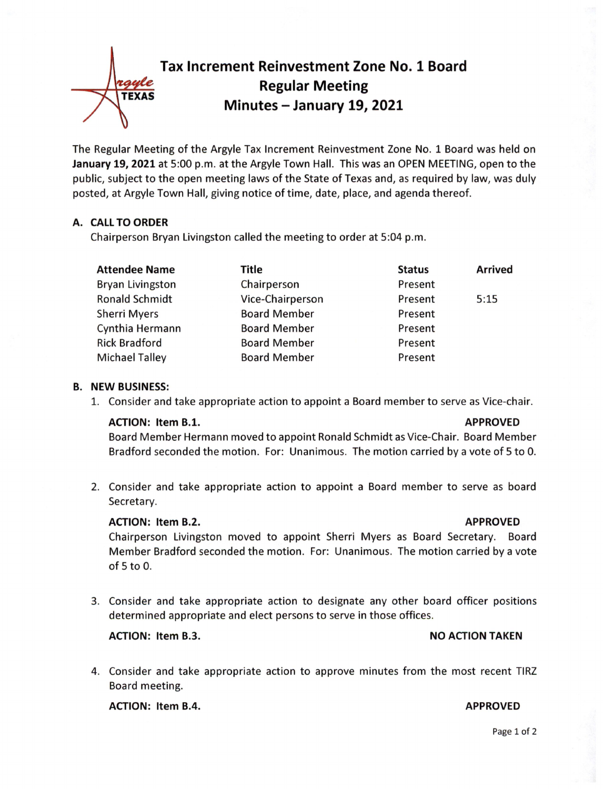

The Regular Meeting of the Argyle Tax Increment Reinvestment Zone No. 1 Board was held on January 19, 2021 at 5:00 p.m. at the Argyle Town Hall. This was an OPEN MEETING, open to the public, subject to the open meeting laws of the State of Texas and, as required by law, was duly posted, at Argyle Town Hall, giving notice of time, date, place, and agenda thereof.

# A. CALL TO ORDER

Chairperson Bryan Livingston called the meeting to order at 5:04 p.m.

| <b>Attendee Name</b>    | <b>Title</b>        | <b>Status</b> | <b>Arrived</b> |
|-------------------------|---------------------|---------------|----------------|
| <b>Bryan Livingston</b> | Chairperson         | Present       |                |
| <b>Ronald Schmidt</b>   | Vice-Chairperson    | Present       | 5:15           |
| <b>Sherri Myers</b>     | <b>Board Member</b> | Present       |                |
| Cynthia Hermann         | <b>Board Member</b> | Present       |                |
| <b>Rick Bradford</b>    | <b>Board Member</b> | Present       |                |
| <b>Michael Talley</b>   | <b>Board Member</b> | Present       |                |

## B. NEW BUSINESS:

1. Consider and take appropriate action to appoint <sup>a</sup> Board member to serve as Vice- chair.

# ACTION: Item B.1. And the state of the state of the state of the state of the state of the state of the state of the state of the state of the state of the state of the state of the state of the state of the state of the s

Board Member Hermann moved to appoint Ronald Schmidt as Vice- Chair. Board Member Bradford seconded the motion. For: Unanimous. The motion carried by <sup>a</sup> vote of <sup>5</sup> to 0.

2. Consider and take appropriate action to appoint <sup>a</sup> Board member to serve as board Secretary.

## ACTION: Item B.2. And the state of the state of the state of the state of the state of the state of the state o

Chairperson Livingston moved to appoint Sherri Myers as Board Secretary. Board Member Bradford seconded the motion. For: Unanimous. The motion carried by <sup>a</sup> vote of 5 to 0.

3. Consider and take appropriate action to designate any other board officer positions determined appropriate and elect persons to serve in those offices.

ACTION: Item B.3. NO ACTION TAKEN

4. Consider and take appropriate action to approve minutes from the most recent TIRZ Board meeting.

ACTION: Item B.4. ACTION: Item B.4.

Page <sup>1</sup> of 2